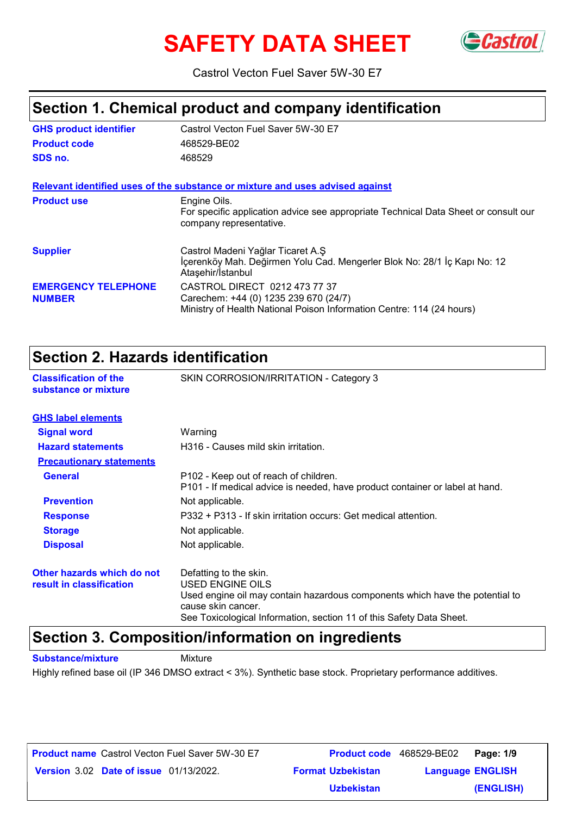# **SAFETY DATA SHEET** GCastrol



Castrol Vecton Fuel Saver 5W-30 E7

# **Section 1. Chemical product and company identification**

| <b>GHS product identifier</b>               | Castrol Vecton Fuel Saver 5W-30 E7                                                                                                              |
|---------------------------------------------|-------------------------------------------------------------------------------------------------------------------------------------------------|
| <b>Product code</b>                         | 468529-BE02                                                                                                                                     |
| SDS no.                                     | 468529                                                                                                                                          |
|                                             | Relevant identified uses of the substance or mixture and uses advised against                                                                   |
| <b>Product use</b>                          | Engine Oils.<br>For specific application advice see appropriate Technical Data Sheet or consult our<br>company representative.                  |
| <b>Supplier</b>                             | Castrol Madeni Yağlar Ticaret A.Ş<br>İçerenköy Mah. Değirmen Yolu Cad. Mengerler Blok No: 28/1 İç Kapı No: 12<br>Ataşehir/İstanbul              |
| <b>EMERGENCY TELEPHONE</b><br><b>NUMBER</b> | CASTROL DIRECT 0212 473 77 37<br>Carechem: +44 (0) 1235 239 670 (24/7)<br>Ministry of Health National Poison Information Centre: 114 (24 hours) |

### **Section 2. Hazards identification**

| OCCHON 4. NGLARAS RIGHTHOGHON                        |                                                                                                                       |
|------------------------------------------------------|-----------------------------------------------------------------------------------------------------------------------|
| <b>Classification of the</b><br>substance or mixture | SKIN CORROSION/IRRITATION - Category 3                                                                                |
| <b>GHS label elements</b>                            |                                                                                                                       |
| <b>Signal word</b>                                   | Warning                                                                                                               |
| <b>Hazard statements</b>                             | H316 - Causes mild skin irritation.                                                                                   |
| <b>Precautionary statements</b>                      |                                                                                                                       |
| <b>General</b>                                       | P102 - Keep out of reach of children.<br>P101 - If medical advice is needed, have product container or label at hand. |
| <b>Prevention</b>                                    | Not applicable.                                                                                                       |
| <b>Response</b>                                      | P332 + P313 - If skin irritation occurs: Get medical attention.                                                       |
| <b>Storage</b>                                       | Not applicable.                                                                                                       |
| <b>Disposal</b>                                      | Not applicable.                                                                                                       |
| Other hazards which do not                           | Defatting to the skin.                                                                                                |
| result in classification                             | USED ENGINE OILS                                                                                                      |
|                                                      | Used engine oil may contain hazardous components which have the potential to<br>cause skin cancer.                    |

See Toxicological Information, section 11 of this Safety Data Sheet.

### **Section 3. Composition/information on ingredients**

**Substance/mixture Mixture** 

Highly refined base oil (IP 346 DMSO extract < 3%). Synthetic base stock. Proprietary performance additives.

| <b>Product name</b> Castrol Vecton Fuel Saver 5W-30 E7 |                          | <b>Product code</b> 468529-BE02   Page: 1/9 |           |
|--------------------------------------------------------|--------------------------|---------------------------------------------|-----------|
| <b>Version 3.02 Date of issue 01/13/2022.</b>          | <b>Format Uzbekistan</b> | <b>Language ENGLISH</b>                     |           |
|                                                        | <u>Uzbekistan</u>        |                                             | (ENGLISH) |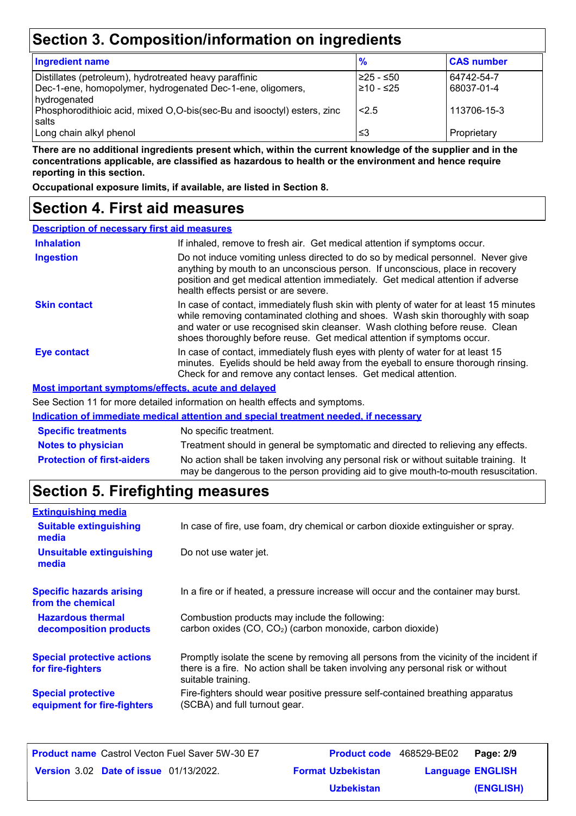# **Section 3. Composition/information on ingredients**

| <b>Ingredient name</b>                                                  | $\frac{9}{6}$ | <b>CAS number</b> |
|-------------------------------------------------------------------------|---------------|-------------------|
| Distillates (petroleum), hydrotreated heavy paraffinic                  | l≥25 - ≤50    | 64742-54-7        |
| Dec-1-ene, homopolymer, hydrogenated Dec-1-ene, oligomers,              | l≥10 - ≤25    | 68037-01-4        |
| hydrogenated                                                            |               |                   |
| Phosphorodithioic acid, mixed O,O-bis(sec-Bu and isooctyl) esters, zinc | 2.5           | 113706-15-3       |
| salts                                                                   |               |                   |
| Long chain alkyl phenol                                                 | ≤3            | Proprietary       |

**There are no additional ingredients present which, within the current knowledge of the supplier and in the concentrations applicable, are classified as hazardous to health or the environment and hence require reporting in this section.**

**Occupational exposure limits, if available, are listed in Section 8.**

### **Section 4. First aid measures**

| <b>Description of necessary first aid measures</b> |                                                                                                                                                                                                                                                                                                                                      |
|----------------------------------------------------|--------------------------------------------------------------------------------------------------------------------------------------------------------------------------------------------------------------------------------------------------------------------------------------------------------------------------------------|
| <b>Inhalation</b>                                  | If inhaled, remove to fresh air. Get medical attention if symptoms occur.                                                                                                                                                                                                                                                            |
| <b>Ingestion</b>                                   | Do not induce vomiting unless directed to do so by medical personnel. Never give<br>anything by mouth to an unconscious person. If unconscious, place in recovery<br>position and get medical attention immediately. Get medical attention if adverse<br>health effects persist or are severe.                                       |
| <b>Skin contact</b>                                | In case of contact, immediately flush skin with plenty of water for at least 15 minutes<br>while removing contaminated clothing and shoes. Wash skin thoroughly with soap<br>and water or use recognised skin cleanser. Wash clothing before reuse. Clean<br>shoes thoroughly before reuse. Get medical attention if symptoms occur. |
| Eye contact                                        | In case of contact, immediately flush eyes with plenty of water for at least 15<br>minutes. Eyelids should be held away from the eyeball to ensure thorough rinsing.<br>Check for and remove any contact lenses. Get medical attention.                                                                                              |
|                                                    | <b>Most important symptoms/effects, acute and delayed</b>                                                                                                                                                                                                                                                                            |
|                                                    | See Section 11 for more detailed information on booth effects and symptoms                                                                                                                                                                                                                                                           |

e Section 11 for more detailed information on health effects and symptoms.

|                                   | Indication of immediate medical attention and special treatment needed, if necessary                                                                                        |
|-----------------------------------|-----------------------------------------------------------------------------------------------------------------------------------------------------------------------------|
| <b>Specific treatments</b>        | No specific treatment.                                                                                                                                                      |
| <b>Notes to physician</b>         | Treatment should in general be symptomatic and directed to relieving any effects.                                                                                           |
| <b>Protection of first-aiders</b> | No action shall be taken involving any personal risk or without suitable training. It<br>may be dangerous to the person providing aid to give mouth-to-mouth resuscitation. |

# **Section 5. Firefighting measures**

| <b>Extinguishing media</b>                               |                                                                                                                                                                                                   |
|----------------------------------------------------------|---------------------------------------------------------------------------------------------------------------------------------------------------------------------------------------------------|
| <b>Suitable extinguishing</b><br>media                   | In case of fire, use foam, dry chemical or carbon dioxide extinguisher or spray.                                                                                                                  |
| <b>Unsuitable extinguishing</b><br>media                 | Do not use water jet.                                                                                                                                                                             |
| <b>Specific hazards arising</b><br>from the chemical     | In a fire or if heated, a pressure increase will occur and the container may burst.                                                                                                               |
| <b>Hazardous thermal</b><br>decomposition products       | Combustion products may include the following:<br>carbon oxides (CO, CO <sub>2</sub> ) (carbon monoxide, carbon dioxide)                                                                          |
| <b>Special protective actions</b><br>for fire-fighters   | Promptly isolate the scene by removing all persons from the vicinity of the incident if<br>there is a fire. No action shall be taken involving any personal risk or without<br>suitable training. |
| <b>Special protective</b><br>equipment for fire-fighters | Fire-fighters should wear positive pressure self-contained breathing apparatus<br>(SCBA) and full turnout gear.                                                                                   |

| <b>Product name</b> Castrol Vecton Fuel Saver 5W-30 E7 | <b>Product code</b> 468529-BE02 |                         | Page: 2/9 |
|--------------------------------------------------------|---------------------------------|-------------------------|-----------|
| <b>Version 3.02 Date of issue 01/13/2022.</b>          | <b>Format Uzbekistan</b>        | <b>Language ENGLISH</b> |           |
|                                                        | <b>Uzbekistan</b>               |                         | (ENGLISH) |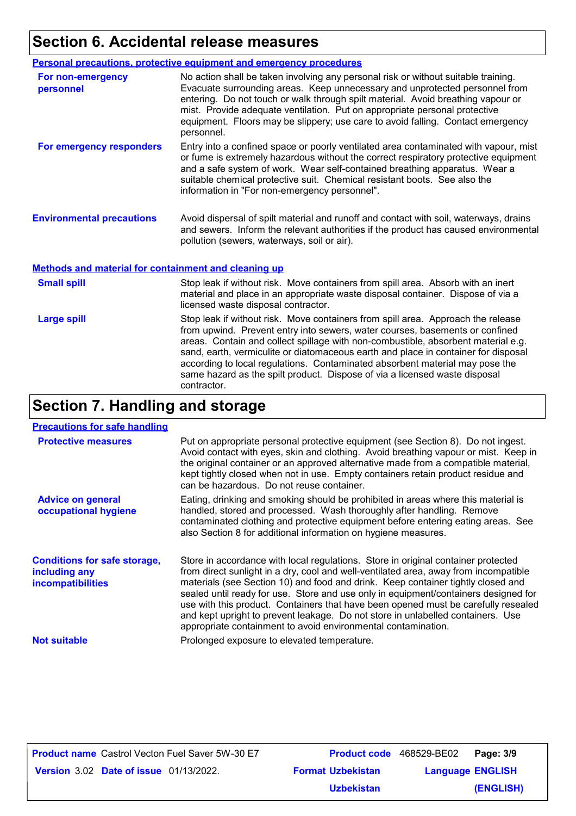# **Section 6. Accidental release measures**

|                                                             | <b>Personal precautions, protective equipment and emergency procedures</b>                                                                                                                                                                                                                                                                                                                                                           |
|-------------------------------------------------------------|--------------------------------------------------------------------------------------------------------------------------------------------------------------------------------------------------------------------------------------------------------------------------------------------------------------------------------------------------------------------------------------------------------------------------------------|
| For non-emergency<br>personnel                              | No action shall be taken involving any personal risk or without suitable training.<br>Evacuate surrounding areas. Keep unnecessary and unprotected personnel from<br>entering. Do not touch or walk through spilt material. Avoid breathing vapour or<br>mist. Provide adequate ventilation. Put on appropriate personal protective<br>equipment. Floors may be slippery; use care to avoid falling. Contact emergency<br>personnel. |
| For emergency responders                                    | Entry into a confined space or poorly ventilated area contaminated with vapour, mist<br>or fume is extremely hazardous without the correct respiratory protective equipment<br>and a safe system of work. Wear self-contained breathing apparatus. Wear a<br>suitable chemical protective suit. Chemical resistant boots. See also the<br>information in "For non-emergency personnel".                                              |
| <b>Environmental precautions</b>                            | Avoid dispersal of spilt material and runoff and contact with soil, waterways, drains<br>and sewers. Inform the relevant authorities if the product has caused environmental<br>pollution (sewers, waterways, soil or air).                                                                                                                                                                                                          |
| <b>Methods and material for containment and cleaning up</b> |                                                                                                                                                                                                                                                                                                                                                                                                                                      |

| <b>Small spill</b> | Stop leak if without risk. Move containers from spill area. Absorb with an inert<br>material and place in an appropriate waste disposal container. Dispose of via a<br>licensed waste disposal contractor.                                                                                                                                                                                                                                                                                                               |
|--------------------|--------------------------------------------------------------------------------------------------------------------------------------------------------------------------------------------------------------------------------------------------------------------------------------------------------------------------------------------------------------------------------------------------------------------------------------------------------------------------------------------------------------------------|
| <b>Large spill</b> | Stop leak if without risk. Move containers from spill area. Approach the release<br>from upwind. Prevent entry into sewers, water courses, basements or confined<br>areas. Contain and collect spillage with non-combustible, absorbent material e.g.<br>sand, earth, vermiculite or diatomaceous earth and place in container for disposal<br>according to local regulations. Contaminated absorbent material may pose the<br>same hazard as the spilt product. Dispose of via a licensed waste disposal<br>contractor. |

# **Section 7. Handling and storage**

#### **Precautions for safe handling**

| <b>Protective measures</b>                                                       | Put on appropriate personal protective equipment (see Section 8). Do not ingest.<br>Avoid contact with eyes, skin and clothing. Avoid breathing vapour or mist. Keep in<br>the original container or an approved alternative made from a compatible material,<br>kept tightly closed when not in use. Empty containers retain product residue and<br>can be hazardous. Do not reuse container.                                                                                                                                                                                                 |
|----------------------------------------------------------------------------------|------------------------------------------------------------------------------------------------------------------------------------------------------------------------------------------------------------------------------------------------------------------------------------------------------------------------------------------------------------------------------------------------------------------------------------------------------------------------------------------------------------------------------------------------------------------------------------------------|
| <b>Advice on general</b><br>occupational hygiene                                 | Eating, drinking and smoking should be prohibited in areas where this material is<br>handled, stored and processed. Wash thoroughly after handling. Remove<br>contaminated clothing and protective equipment before entering eating areas. See<br>also Section 8 for additional information on hygiene measures.                                                                                                                                                                                                                                                                               |
| <b>Conditions for safe storage,</b><br>including any<br><b>incompatibilities</b> | Store in accordance with local regulations. Store in original container protected<br>from direct sunlight in a dry, cool and well-ventilated area, away from incompatible<br>materials (see Section 10) and food and drink. Keep container tightly closed and<br>sealed until ready for use. Store and use only in equipment/containers designed for<br>use with this product. Containers that have been opened must be carefully resealed<br>and kept upright to prevent leakage. Do not store in unlabelled containers. Use<br>appropriate containment to avoid environmental contamination. |
| <b>Not suitable</b>                                                              | Prolonged exposure to elevated temperature.                                                                                                                                                                                                                                                                                                                                                                                                                                                                                                                                                    |

| <b>Product name</b> Castrol Vecton Fuel Saver 5W-30 E7 |                          | <b>Product code</b> 468529-BE02 | Page: 3/9 |
|--------------------------------------------------------|--------------------------|---------------------------------|-----------|
| <b>Version 3.02 Date of issue 01/13/2022.</b>          | <b>Format Uzbekistan</b> | <b>Language ENGLISH</b>         |           |
|                                                        | Uzbekistan               |                                 | (ENGLISH) |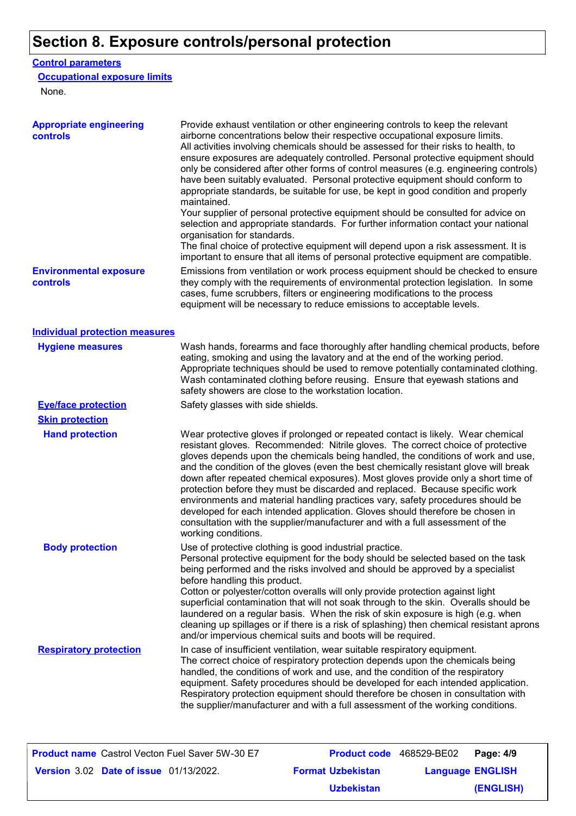# **Section 8. Exposure controls/personal protection**

#### **Control parameters**

#### **Occupational exposure limits**

None.

| <b>Appropriate engineering</b><br>controls | Provide exhaust ventilation or other engineering controls to keep the relevant<br>airborne concentrations below their respective occupational exposure limits.<br>All activities involving chemicals should be assessed for their risks to health, to<br>ensure exposures are adequately controlled. Personal protective equipment should<br>only be considered after other forms of control measures (e.g. engineering controls)<br>have been suitably evaluated. Personal protective equipment should conform to<br>appropriate standards, be suitable for use, be kept in good condition and properly<br>maintained.<br>Your supplier of personal protective equipment should be consulted for advice on<br>selection and appropriate standards. For further information contact your national<br>organisation for standards.<br>The final choice of protective equipment will depend upon a risk assessment. It is |
|--------------------------------------------|------------------------------------------------------------------------------------------------------------------------------------------------------------------------------------------------------------------------------------------------------------------------------------------------------------------------------------------------------------------------------------------------------------------------------------------------------------------------------------------------------------------------------------------------------------------------------------------------------------------------------------------------------------------------------------------------------------------------------------------------------------------------------------------------------------------------------------------------------------------------------------------------------------------------|
| <b>Environmental exposure</b><br>controls  | important to ensure that all items of personal protective equipment are compatible.<br>Emissions from ventilation or work process equipment should be checked to ensure<br>they comply with the requirements of environmental protection legislation. In some<br>cases, fume scrubbers, filters or engineering modifications to the process<br>equipment will be necessary to reduce emissions to acceptable levels.                                                                                                                                                                                                                                                                                                                                                                                                                                                                                                   |
| <b>Individual protection measures</b>      |                                                                                                                                                                                                                                                                                                                                                                                                                                                                                                                                                                                                                                                                                                                                                                                                                                                                                                                        |
| <b>Hygiene measures</b>                    | Wash hands, forearms and face thoroughly after handling chemical products, before<br>eating, smoking and using the lavatory and at the end of the working period.<br>Appropriate techniques should be used to remove potentially contaminated clothing.<br>Wash contaminated clothing before reusing. Ensure that eyewash stations and<br>safety showers are close to the workstation location.                                                                                                                                                                                                                                                                                                                                                                                                                                                                                                                        |
| <b>Eye/face protection</b>                 | Safety glasses with side shields.                                                                                                                                                                                                                                                                                                                                                                                                                                                                                                                                                                                                                                                                                                                                                                                                                                                                                      |
| <b>Skin protection</b>                     |                                                                                                                                                                                                                                                                                                                                                                                                                                                                                                                                                                                                                                                                                                                                                                                                                                                                                                                        |
| <b>Hand protection</b>                     | Wear protective gloves if prolonged or repeated contact is likely. Wear chemical<br>resistant gloves. Recommended: Nitrile gloves. The correct choice of protective<br>gloves depends upon the chemicals being handled, the conditions of work and use,<br>and the condition of the gloves (even the best chemically resistant glove will break<br>down after repeated chemical exposures). Most gloves provide only a short time of<br>protection before they must be discarded and replaced. Because specific work<br>environments and material handling practices vary, safety procedures should be<br>developed for each intended application. Gloves should therefore be chosen in<br>consultation with the supplier/manufacturer and with a full assessment of the<br>working conditions.                                                                                                                        |
| <b>Body protection</b>                     | Use of protective clothing is good industrial practice.<br>Personal protective equipment for the body should be selected based on the task<br>being performed and the risks involved and should be approved by a specialist<br>before handling this product.<br>Cotton or polyester/cotton overalls will only provide protection against light<br>superficial contamination that will not soak through to the skin. Overalls should be<br>laundered on a regular basis. When the risk of skin exposure is high (e.g. when<br>cleaning up spillages or if there is a risk of splashing) then chemical resistant aprons<br>and/or impervious chemical suits and boots will be required.                                                                                                                                                                                                                                  |
| <b>Respiratory protection</b>              | In case of insufficient ventilation, wear suitable respiratory equipment.<br>The correct choice of respiratory protection depends upon the chemicals being<br>handled, the conditions of work and use, and the condition of the respiratory<br>equipment. Safety procedures should be developed for each intended application.<br>Respiratory protection equipment should therefore be chosen in consultation with<br>the supplier/manufacturer and with a full assessment of the working conditions.                                                                                                                                                                                                                                                                                                                                                                                                                  |

| <b>Product name</b> Castrol Vecton Fuel Saver 5W-30 E7 |                          | <b>Product code</b> 468529-BE02 | Page: 4/9 |
|--------------------------------------------------------|--------------------------|---------------------------------|-----------|
| <b>Version 3.02 Date of issue 01/13/2022.</b>          | <b>Format Uzbekistan</b> | <b>Language ENGLISH</b>         |           |
|                                                        | <b>Uzbekistan</b>        |                                 | (ENGLISH) |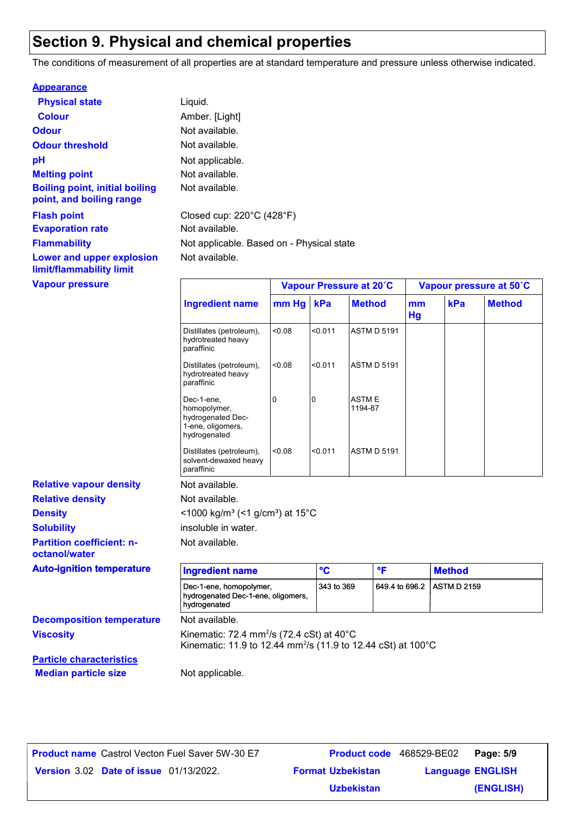# **Section 9. Physical and chemical properties**

The conditions of measurement of all properties are at standard temperature and pressure unless otherwise indicated.

| <b>Appearance</b>                                                 |                                                |                         |
|-------------------------------------------------------------------|------------------------------------------------|-------------------------|
| <b>Physical state</b>                                             | Liquid.                                        |                         |
| <b>Colour</b>                                                     | Amber. [Light]                                 |                         |
| <b>Odour</b>                                                      | Not available.                                 |                         |
| <b>Odour threshold</b>                                            | Not available.                                 |                         |
| рH                                                                | Not applicable.                                |                         |
| <b>Melting point</b>                                              | Not available.                                 |                         |
| <b>Boiling point, initial boiling</b><br>point, and boiling range | Not available.                                 |                         |
| <b>Flash point</b>                                                | Closed cup: $220^{\circ}$ C (428 $^{\circ}$ F) |                         |
| <b>Evaporation rate</b>                                           | Not available.                                 |                         |
| <b>Flammability</b>                                               | Not applicable. Based on - Physical state      |                         |
| Lower and upper explosion<br>limit/flammability limit             | Not available.                                 |                         |
| <b>Vapour pressure</b>                                            |                                                | Vapour Pressure at 20°C |

|                                                                                      | Vapour Pressure at 20°C |         | Vapour pressure at 50°C |          |     |               |
|--------------------------------------------------------------------------------------|-------------------------|---------|-------------------------|----------|-----|---------------|
| <b>Ingredient name</b>                                                               | mm Hg                   | kPa     | <b>Method</b>           | mm<br>Hg | kPa | <b>Method</b> |
| Distillates (petroleum),<br>hydrotreated heavy<br>paraffinic                         | < 0.08                  | < 0.011 | <b>ASTM D 5191</b>      |          |     |               |
| Distillates (petroleum),<br>hydrotreated heavy<br>paraffinic                         | < 0.08                  | < 0.011 | <b>ASTM D 5191</b>      |          |     |               |
| Dec-1-ene,<br>homopolymer,<br>hydrogenated Dec-<br>1-ene, oligomers,<br>hydrogenated | 0                       | I۵      | <b>ASTME</b><br>1194-87 |          |     |               |
| Distillates (petroleum),<br>solvent-dewaxed heavy<br>paraffinic                      | < 0.08                  | < 0.011 | <b>ASTM D 5191</b>      |          |     |               |

**Relative density Solubility Partition coefficient: noctanol/water Density**  $\leq 1000 \text{ kg/m}^3 \leq 1 \text{ g/cm}^3$  at 15°C **Relative vapour density**

| <b>Auto-ignition temperature</b> | <b>Ingredient name</b>                                                                                                                      | °C         | $\bullet$ $\blacksquare$   | <b>Method</b> |
|----------------------------------|---------------------------------------------------------------------------------------------------------------------------------------------|------------|----------------------------|---------------|
|                                  | Dec-1-ene, homopolymer,<br>hydrogenated Dec-1-ene, oligomers,<br>hydrogenated                                                               | 343 to 369 | 649.4 to 696.2 ASTM D 2159 |               |
| <b>Decomposition temperature</b> | Not available.                                                                                                                              |            |                            |               |
| <b>Viscosity</b>                 | Kinematic: 72.4 mm <sup>2</sup> /s (72.4 cSt) at $40^{\circ}$ C<br>Kinematic: 11.9 to 12.44 mm <sup>2</sup> /s (11.9 to 12.44 cSt) at 100°C |            |                            |               |
| <b>Particle characteristics</b>  |                                                                                                                                             |            |                            |               |

**Median particle size** Not applicable.

insoluble in water.

Not available.

| <b>Product name</b> Castrol Vecton Fuel Saver 5W-30 E7 | <b>Product code</b> 468529-BE02 | Page: 5/9               |
|--------------------------------------------------------|---------------------------------|-------------------------|
| <b>Version 3.02 Date of issue 01/13/2022.</b>          | <b>Format Uzbekistan</b>        | <b>Language ENGLISH</b> |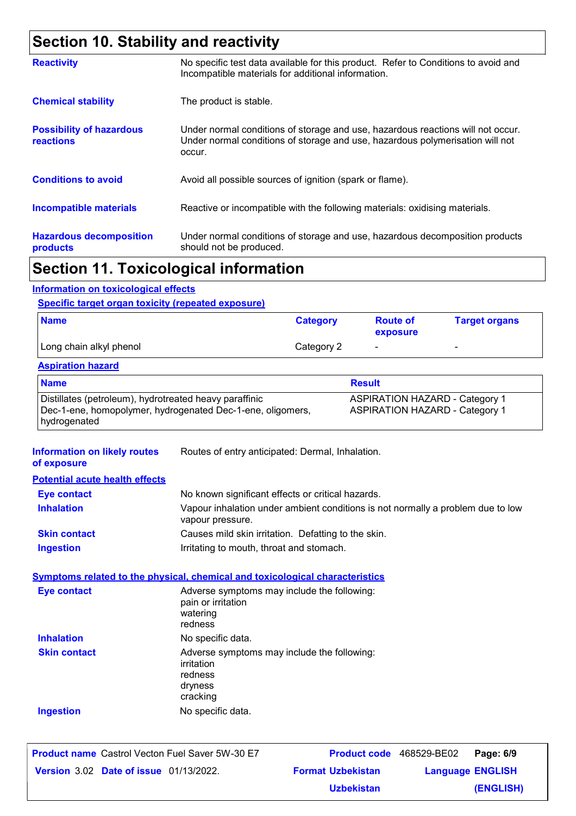# **Section 10. Stability and reactivity**

| <b>Reactivity</b>                                   | No specific test data available for this product. Refer to Conditions to avoid and<br>Incompatible materials for additional information.                                   |
|-----------------------------------------------------|----------------------------------------------------------------------------------------------------------------------------------------------------------------------------|
| <b>Chemical stability</b>                           | The product is stable.                                                                                                                                                     |
| <b>Possibility of hazardous</b><br><b>reactions</b> | Under normal conditions of storage and use, hazardous reactions will not occur.<br>Under normal conditions of storage and use, hazardous polymerisation will not<br>occur. |
| <b>Conditions to avoid</b>                          | Avoid all possible sources of ignition (spark or flame).                                                                                                                   |
| <b>Incompatible materials</b>                       | Reactive or incompatible with the following materials: oxidising materials.                                                                                                |
| <b>Hazardous decomposition</b><br>products          | Under normal conditions of storage and use, hazardous decomposition products<br>should not be produced.                                                                    |
|                                                     |                                                                                                                                                                            |

### **Section 11. Toxicological information**

#### **Information on toxicological effects**

#### **Specific target organ toxicity (repeated exposure)**

| <b>Name</b>             | <b>Category</b> | <b>Route of</b><br>exposure | <b>Target organs</b>     |
|-------------------------|-----------------|-----------------------------|--------------------------|
| Long chain alkyl phenol | Category 2      | $\overline{\phantom{0}}$    | $\overline{\phantom{0}}$ |

#### **Aspiration hazard**

| <b>Name</b>                                                | <b>Result</b>                         |
|------------------------------------------------------------|---------------------------------------|
| Distillates (petroleum), hydrotreated heavy paraffinic     | <b>ASPIRATION HAZARD - Category 1</b> |
| Dec-1-ene, homopolymer, hydrogenated Dec-1-ene, oligomers, | <b>ASPIRATION HAZARD - Category 1</b> |
| hydrogenated                                               |                                       |

| <b>Information on likely routes</b><br>of exposure | Routes of entry anticipated: Dermal, Inhalation.                                                    |
|----------------------------------------------------|-----------------------------------------------------------------------------------------------------|
| <b>Potential acute health effects</b>              |                                                                                                     |
| <b>Eye contact</b>                                 | No known significant effects or critical hazards.                                                   |
| <b>Inhalation</b>                                  | Vapour inhalation under ambient conditions is not normally a problem due to low<br>vapour pressure. |
| <b>Skin contact</b>                                | Causes mild skin irritation. Defatting to the skin.                                                 |
| <b>Ingestion</b>                                   | Irritating to mouth, throat and stomach.                                                            |
|                                                    | <b>Symptoms related to the physical, chemical and toxicological characteristics</b>                 |
| <b>Eye contact</b>                                 | Adverse symptoms may include the following:<br>pain or irritation<br>watering<br>redness            |
| <b>Inhalation</b>                                  | No specific data.                                                                                   |
| <b>Skin contact</b>                                | Adverse symptoms may include the following:<br>irritation<br>redness<br>dryness<br>cracking         |
| <b>Ingestion</b>                                   | No specific data.                                                                                   |
|                                                    |                                                                                                     |

| <b>Product name</b> Castrol Vecton Fuel Saver 5W-30 E7 |                          | <b>Product code</b> 468529-BE02 | Page: 6/9 |
|--------------------------------------------------------|--------------------------|---------------------------------|-----------|
| <b>Version 3.02 Date of issue 01/13/2022.</b>          | <b>Format Uzbekistan</b> | <b>Language ENGLISH</b>         |           |
|                                                        | <b>Uzbekistan</b>        |                                 | (ENGLISH) |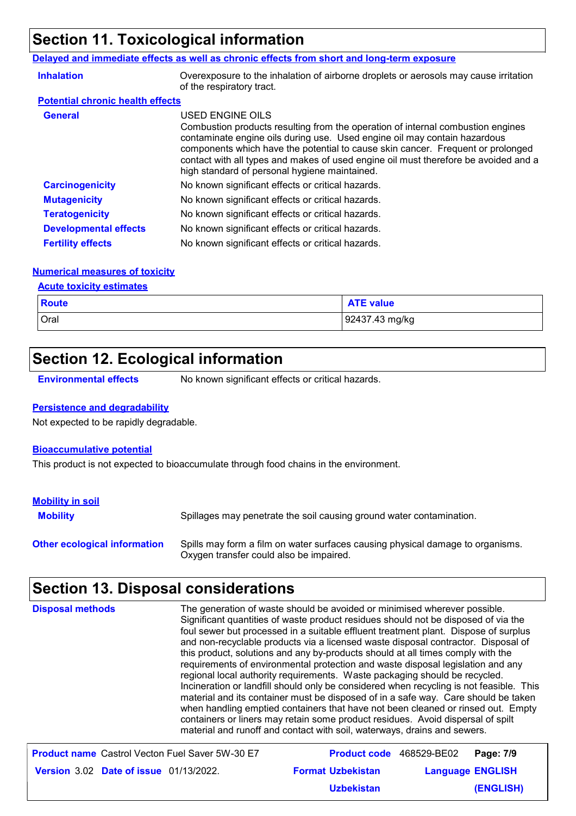# **Section 11. Toxicological information**

#### **Delayed and immediate effects as well as chronic effects from short and long-term exposure**

| <b>Inhalation</b>                       | Overexposure to the inhalation of airborne droplets or aerosols may cause irritation<br>of the respiratory tract.                                                                                                                                                                                                                                                                                           |
|-----------------------------------------|-------------------------------------------------------------------------------------------------------------------------------------------------------------------------------------------------------------------------------------------------------------------------------------------------------------------------------------------------------------------------------------------------------------|
| <b>Potential chronic health effects</b> |                                                                                                                                                                                                                                                                                                                                                                                                             |
| <b>General</b>                          | USED ENGINE OILS<br>Combustion products resulting from the operation of internal combustion engines<br>contaminate engine oils during use. Used engine oil may contain hazardous<br>components which have the potential to cause skin cancer. Frequent or prolonged<br>contact with all types and makes of used engine oil must therefore be avoided and a<br>high standard of personal hygiene maintained. |
| <b>Carcinogenicity</b>                  | No known significant effects or critical hazards.                                                                                                                                                                                                                                                                                                                                                           |
| <b>Mutagenicity</b>                     | No known significant effects or critical hazards.                                                                                                                                                                                                                                                                                                                                                           |
| <b>Teratogenicity</b>                   | No known significant effects or critical hazards.                                                                                                                                                                                                                                                                                                                                                           |
| <b>Developmental effects</b>            | No known significant effects or critical hazards.                                                                                                                                                                                                                                                                                                                                                           |
| <b>Fertility effects</b>                | No known significant effects or critical hazards.                                                                                                                                                                                                                                                                                                                                                           |

#### **Numerical measures of toxicity**

#### **Acute toxicity estimates**

| <b>Route</b> | <b>ATE value</b> |
|--------------|------------------|
| Oral         | 92437.43 mg/kg   |

# **Section 12. Ecological information**

**Environmental effects** No known significant effects or critical hazards.

#### **Persistence and degradability**

Not expected to be rapidly degradable.

#### **Bioaccumulative potential**

This product is not expected to bioaccumulate through food chains in the environment.

| <b>Mobility in soil</b>             |                                                                                                                           |
|-------------------------------------|---------------------------------------------------------------------------------------------------------------------------|
| <b>Mobility</b>                     | Spillages may penetrate the soil causing ground water contamination.                                                      |
| <b>Other ecological information</b> | Spills may form a film on water surfaces causing physical damage to organisms.<br>Oxygen transfer could also be impaired. |

# **Section 13. Disposal considerations**

| <b>Disposal methods</b>                                | The generation of waste should be avoided or minimised wherever possible.<br>Significant quantities of waste product residues should not be disposed of via the<br>foul sewer but processed in a suitable effluent treatment plant. Dispose of surplus<br>and non-recyclable products via a licensed waste disposal contractor. Disposal of<br>this product, solutions and any by-products should at all times comply with the<br>requirements of environmental protection and waste disposal legislation and any<br>regional local authority requirements. Waste packaging should be recycled.<br>Incineration or landfill should only be considered when recycling is not feasible. This<br>material and its container must be disposed of in a safe way. Care should be taken<br>when handling emptied containers that have not been cleaned or rinsed out. Empty<br>containers or liners may retain some product residues. Avoid dispersal of spilt<br>material and runoff and contact with soil, waterways, drains and sewers. |                         |
|--------------------------------------------------------|-------------------------------------------------------------------------------------------------------------------------------------------------------------------------------------------------------------------------------------------------------------------------------------------------------------------------------------------------------------------------------------------------------------------------------------------------------------------------------------------------------------------------------------------------------------------------------------------------------------------------------------------------------------------------------------------------------------------------------------------------------------------------------------------------------------------------------------------------------------------------------------------------------------------------------------------------------------------------------------------------------------------------------------|-------------------------|
| <b>Product name</b> Castrol Vecton Fuel Saver 5W-30 E7 | <b>Product code</b> 468529-BE02                                                                                                                                                                                                                                                                                                                                                                                                                                                                                                                                                                                                                                                                                                                                                                                                                                                                                                                                                                                                     | Page: 7/9               |
| <b>Version 3.02 Date of issue 01/13/2022.</b>          | <b>Format Uzbekistan</b>                                                                                                                                                                                                                                                                                                                                                                                                                                                                                                                                                                                                                                                                                                                                                                                                                                                                                                                                                                                                            | <b>Language ENGLISH</b> |
|                                                        | <b>Uzbekistan</b>                                                                                                                                                                                                                                                                                                                                                                                                                                                                                                                                                                                                                                                                                                                                                                                                                                                                                                                                                                                                                   | <b>(ENGLISH)</b>        |

**(ENGLISH)**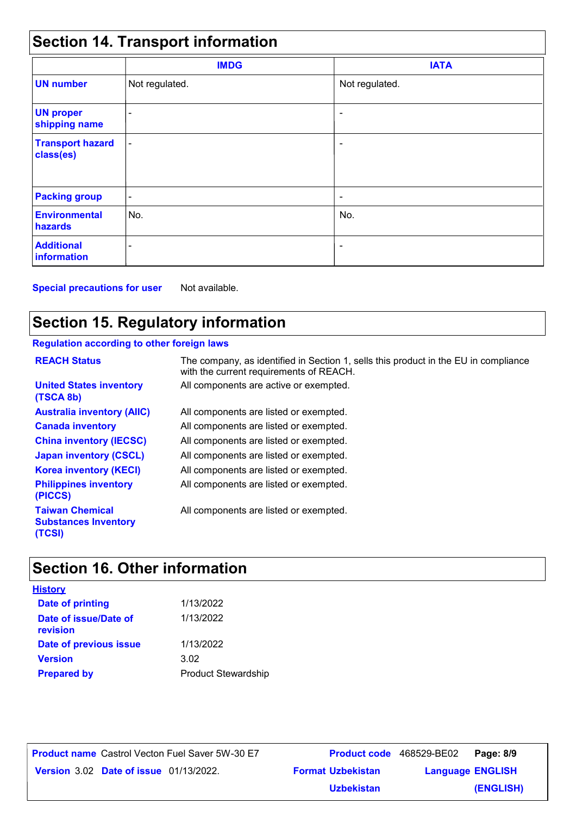# **Section 14. Transport information**

|                                      | <b>IMDG</b>              | <b>IATA</b>    |  |
|--------------------------------------|--------------------------|----------------|--|
| <b>UN number</b>                     | Not regulated.           | Not regulated. |  |
| <b>UN proper</b><br>shipping name    | $\overline{\phantom{a}}$ | ٠              |  |
| <b>Transport hazard</b><br>class(es) | $\overline{\phantom{a}}$ | ٠              |  |
| <b>Packing group</b>                 | $\blacksquare$           | ۰              |  |
| <b>Environmental</b><br>hazards      | No.                      | No.            |  |
| <b>Additional</b><br>information     | ۰                        | ٠              |  |

**Special precautions for user** Not available.

# **Section 15. Regulatory information**

#### **Regulation according to other foreign laws**

| <b>REACH Status</b>                                             | The company, as identified in Section 1, sells this product in the EU in compliance<br>with the current requirements of REACH. |
|-----------------------------------------------------------------|--------------------------------------------------------------------------------------------------------------------------------|
| <b>United States inventory</b><br>(TSCA 8b)                     | All components are active or exempted.                                                                                         |
| <b>Australia inventory (AIIC)</b>                               | All components are listed or exempted.                                                                                         |
| <b>Canada inventory</b>                                         | All components are listed or exempted.                                                                                         |
| <b>China inventory (IECSC)</b>                                  | All components are listed or exempted.                                                                                         |
| <b>Japan inventory (CSCL)</b>                                   | All components are listed or exempted.                                                                                         |
| <b>Korea inventory (KECI)</b>                                   | All components are listed or exempted.                                                                                         |
| <b>Philippines inventory</b><br>(PICCS)                         | All components are listed or exempted.                                                                                         |
| <b>Taiwan Chemical</b><br><b>Substances Inventory</b><br>(TCSI) | All components are listed or exempted.                                                                                         |

# **Section 16. Other information**

| <b>History</b>                    |                            |
|-----------------------------------|----------------------------|
| <b>Date of printing</b>           | 1/13/2022                  |
| Date of issue/Date of<br>revision | 1/13/2022                  |
| Date of previous issue            | 1/13/2022                  |
| <b>Version</b>                    | 3.02                       |
| <b>Prepared by</b>                | <b>Product Stewardship</b> |

**Date of issue** 01/13/2022. **Version** 3.02 **Format Uzbekistan Language Product name** Castrol Vecton Fuel Saver 5W-30 E7 **Product code** 468529-BE02 **Page: 8/9** | **Language ENGLISH (ENGLISH)** Product code 468529-BE02 Page: 8/9 **Uzbekistan**